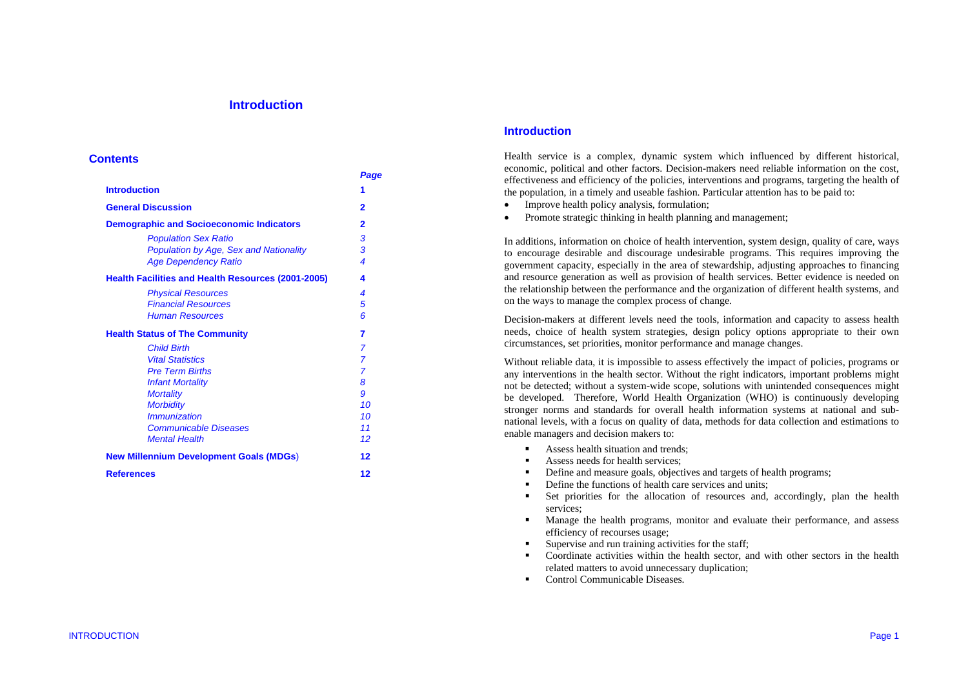# **Introduction**

#### **Contents**

|                                                           | Page           |
|-----------------------------------------------------------|----------------|
| <b>Introduction</b>                                       | 1              |
| <b>General Discussion</b>                                 | $\overline{2}$ |
| <b>Demographic and Socioeconomic Indicators</b>           | $\overline{2}$ |
| <b>Population Sex Ratio</b>                               | 3              |
| <b>Population by Age, Sex and Nationality</b>             | 3              |
| <b>Age Dependency Ratio</b>                               | 4              |
| <b>Health Facilities and Health Resources (2001-2005)</b> | 4              |
| <b>Physical Resources</b>                                 | 4              |
| <b>Financial Resources</b>                                | 5              |
| <b>Human Resources</b>                                    | 6              |
| <b>Health Status of The Community</b>                     | 7              |
| <b>Child Birth</b>                                        | 7              |
| <b>Vital Statistics</b>                                   | $\overline{7}$ |
| <b>Pre Term Births</b>                                    | $\overline{7}$ |
| <b>Infant Mortality</b>                                   | 8              |
| <b>Mortality</b>                                          | 9              |
| <b>Morbidity</b>                                          | 10             |
| <i>Immunization</i>                                       | 10             |
| <b>Communicable Diseases</b>                              | 11             |
| <b>Mental Health</b>                                      | 12             |
| <b>New Millennium Development Goals (MDGs)</b>            | 12             |
| <b>References</b>                                         | 12             |
|                                                           |                |

## **Introduction**

Health service is a complex, dynamic system which influenced by different historical, economic, political and other factors. Decision-makers need reliable information on the cost, effectiveness and efficiency of the policies, interventions and programs, targeting the health of the population, in a timely and useable fashion. Particular attention has to be paid to:

- •Improve health policy analysis, formulation;
- •Promote strategic thinking in health planning and management;

In additions, information on choice of health intervention, system design, quality of care, ways to encourage desirable and discourage undesirable programs. This requires improving the government capacity, especially in the area of stewardship, adjusting approaches to financing and resource generation as well as provision of health services. Better evidence is needed on the relationship between the performance and the organization of different health systems, and on the ways to manage the complex process of change.

Decision-makers at different levels need the tools, information and capacity to assess health needs, choice of health system strategies, design policy options appropriate to their own circumstances, set priorities, monitor performance and manage changes.

Without reliable data, it is impossible to assess effectively the impact of policies, programs or any interventions in the health sector. Without the right indicators, important problems might not be detected; without a system-wide scope, solutions with unintended consequences might be developed. Therefore, World Health Organization (WHO) is continuously developing stronger norms and standards for overall health information systems at national and subnational levels, with a focus on quality of data, methods for data collection and estimations to enable managers and decision makers to:

- г Assess health situation and trends;
- n Assess needs for health services;
- n Define and measure goals, objectives and targets of health programs;
- Define the functions of health care services and units;
- $\bullet$  Set priorities for the allocation of resources and, accordingly, plan the health services;
- $\blacksquare$  Manage the health programs, monitor and evaluate their performance, and assess efficiency of recourses usage;
- $\blacksquare$ Supervise and run training activities for the staff;
- $\blacksquare$  Coordinate activities within the health sector, and with other sectors in the health related matters to avoid unnecessary duplication;
- $\blacksquare$ Control Communicable Diseases.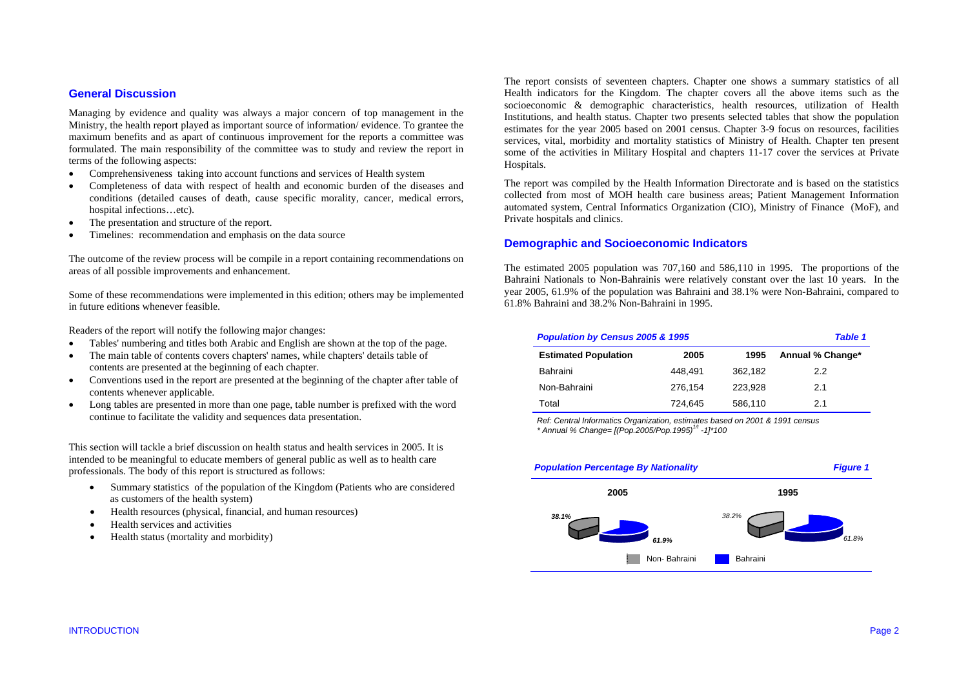## **General Discussion**

Managing by evidence and quality was always a major concern of top management in the Ministry, the health report played as important source of information/ evidence. To grantee the maximum benefits and as apart of continuous improvement for the reports a committee was formulated. The main responsibility of the committee was to study and review the report in terms of the following aspects:

- •Comprehensiveness taking into account functions and services of Health system
- • Completeness of data with respect of health and economic burden of the diseases and conditions (detailed causes of death, cause specific morality, cancer, medical errors, hospital infections…etc).
- •The presentation and structure of the report.
- •Timelines: recommendation and emphasis on the data source

The outcome of the review process will be compile in a report containing recommendations on areas of all possible improvements and enhancement.

Some of these recommendations were implemented in this edition; others may be implemented in future editions whenever feasible.

Readers of the report will notify the following major changes:

- •Tables' numbering and titles both Arabic and English are shown at the top of the page.
- • The main table of contents covers chapters' names, while chapters' details table of contents are presented at the beginning of each chapter.
- • Conventions used in the report are presented at the beginning of the chapter after table of contents whenever applicable.
- • Long tables are presented in more than one page, table number is prefixed with the word continue to facilitate the validity and sequences data presentation.

This section will tackle a brief discussion on health status and health services in 2005. It is intended to be meaningful to educate members of general public as well as to health care professionals. The body of this report is structured as follows:

- Summary statistics of the population of the Kingdom (Patients who are considered as customers of the health system)
- •Health resources (physical, financial, and human resources)
- •Health services and activities
- •Health status (mortality and morbidity)

The report consists of seventeen chapters. Chapter one shows a summary statistics of all Health indicators for the Kingdom. The chapter covers all the above items such as the socioeconomic & demographic characteristics, health resources, utilization of Health Institutions, and health status. Chapter two presents selected tables that show the population estimates for the year 2005 based on 2001 census. Chapter 3-9 focus on resources, facilities services, vital, morbidity and mortality statistics of Ministry of Health. Chapter ten present some of the activities in Military Hospital and chapters 11-17 cover the services at Private Hospitals.

The report was compiled by the Health Information Directorate and is based on the statistics collected from most of MOH health care business areas; Patient Management Information automated system, Central Informatics Organization (CIO), Ministry of Finance (MoF), and Private hospitals and clinics.

#### **Demographic and Socioeconomic Indicators**

The estimated 2005 population was 707,160 and 586,110 in 1995. The proportions of the Bahraini Nationals to Non-Bahrainis were relatively constant over the last 10 years. In the year 2005, 61.9% of the population was Bahraini and 38.1% were Non-Bahraini, compared to 61.8% Bahraini and 38.2% Non-Bahraini in 1995.

| Population by Census 2005 & 1995<br><b>Table 1</b> |         |         |                  |  |  |
|----------------------------------------------------|---------|---------|------------------|--|--|
| <b>Estimated Population</b>                        | 2005    | 1995    | Annual % Change* |  |  |
| Bahraini                                           | 448.491 | 362.182 | 2.2              |  |  |
| Non-Bahraini                                       | 276.154 | 223.928 | 2.1              |  |  |
| Total                                              | 724.645 | 586,110 | 21               |  |  |

*Ref: Central Informatics Organization, estimates based on 2001 & 1991 census \* Annual % Change= [(Pop.2005/Pop.1995)1/t -1]\*100* 

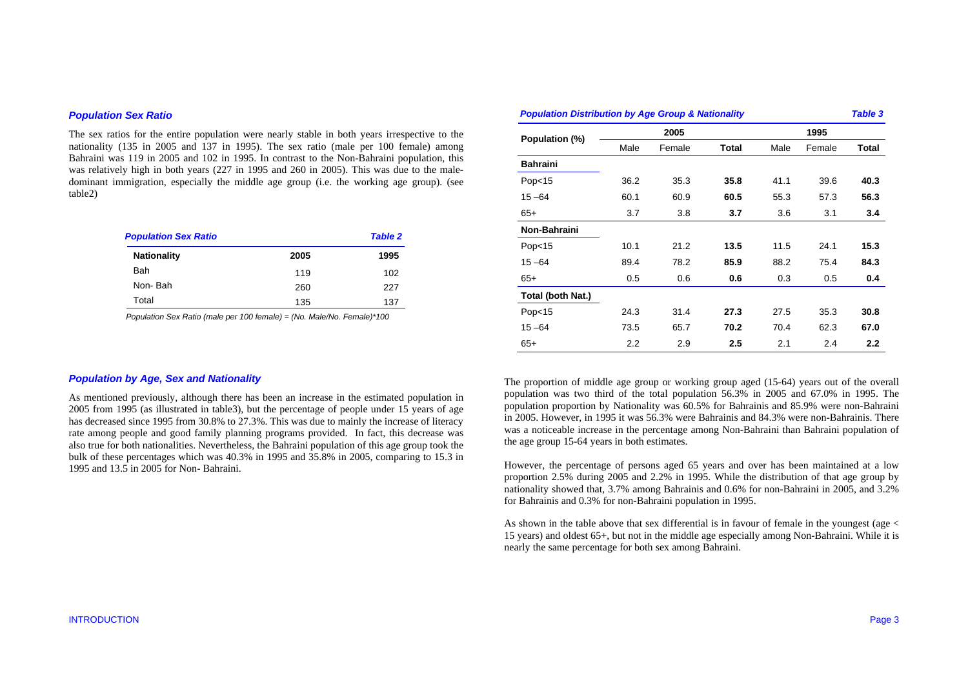### *Population Sex Ratio*

The sex ratios for the entire population were nearly stable in both years irrespective to the nationality (135 in 2005 and 137 in 1995). The sex ratio (male per 100 female) among Bahraini was 119 in 2005 and 102 in 1995. In contrast to the Non-Bahraini population, this was relatively high in both years (227 in 1995 and 260 in 2005). This was due to the maledominant immigration, especially the middle age group (i.e. the working age group). (see table2)

| <b>Population Sex Ratio</b> |      | <b>Table 2</b> |  |  |
|-----------------------------|------|----------------|--|--|
| <b>Nationality</b>          | 2005 | 1995           |  |  |
| Bah                         | 119  | 102            |  |  |
| Non-Bah                     | 260  | 227            |  |  |
| Total                       | 135  | 137            |  |  |

 *Population Sex Ratio (male per 100 female) = (No. Male/No. Female)\*100* 

| <b>Population Distribution by Age Group &amp; Nationality</b><br><b>Table 3</b> |               |        |       |      |        |                  |  |
|---------------------------------------------------------------------------------|---------------|--------|-------|------|--------|------------------|--|
| Population (%)                                                                  |               | 2005   |       | 1995 |        |                  |  |
|                                                                                 | Male          | Female | Total | Male | Female | Total            |  |
| <b>Bahraini</b>                                                                 |               |        |       |      |        |                  |  |
| Pop <sub>15</sub>                                                               | 36.2          | 35.3   | 35.8  | 41.1 | 39.6   | 40.3             |  |
| $15 - 64$                                                                       | 60.1          | 60.9   | 60.5  | 55.3 | 57.3   | 56.3             |  |
| $65+$                                                                           | 3.7           | 3.8    | 3.7   | 3.6  | 3.1    | 3.4              |  |
| Non-Bahraini                                                                    |               |        |       |      |        |                  |  |
| Pop <sub>15</sub>                                                               | 10.1          | 21.2   | 13.5  | 11.5 | 24.1   | 15.3             |  |
| $15 - 64$                                                                       | 89.4          | 78.2   | 85.9  | 88.2 | 75.4   | 84.3             |  |
| $65+$                                                                           | 0.5           | 0.6    | 0.6   | 0.3  | 0.5    | 0.4              |  |
| Total (both Nat.)                                                               |               |        |       |      |        |                  |  |
| Pop <sub>15</sub>                                                               | 24.3          | 31.4   | 27.3  | 27.5 | 35.3   | 30.8             |  |
| $15 - 64$                                                                       | 73.5          | 65.7   | 70.2  | 70.4 | 62.3   | 67.0             |  |
| $65+$                                                                           | $2.2^{\circ}$ | 2.9    | 2.5   | 2.1  | 2.4    | $2.2\phantom{0}$ |  |

### *Population by Age, Sex and Nationality*

As mentioned previously, although there has been an increase in the estimated population in 2005 from 1995 (as illustrated in table3), but the percentage of people under 15 years of age has decreased since 1995 from 30.8% to 27.3%. This was due to mainly the increase of literacy rate among people and good family planning programs provided. In fact, this decrease was also true for both nationalities. Nevertheless, the Bahraini population of this age group took the bulk of these percentages which was 40.3% in 1995 and 35.8% in 2005, comparing to 15.3 in 1995 and 13.5 in 2005 for Non- Bahraini.

The proportion of middle age group or working group aged (15-64) years out of the overall population was two third of the total population 56.3% in 2005 and 67.0% in 1995. The population proportion by Nationality was 60.5% for Bahrainis and 85.9% were non-Bahraini in 2005. However, in 1995 it was 56.3% were Bahrainis and 84.3% were non-Bahrainis. There was a noticeable increase in the percentage among Non-Bahraini than Bahraini population of the age group 15-64 years in both estimates.

However, the percentage of persons aged 65 years and over has been maintained at a low proportion 2.5% during 2005 and 2.2% in 1995. While the distribution of that age group by nationality showed that, 3.7% among Bahrainis and 0.6% for non-Bahraini in 2005, and 3.2% for Bahrainis and 0.3% for non-Bahraini population in 1995.

As shown in the table above that sex differential is in favour of female in the youngest (age < 15 years) and oldest 65+, but not in the middle age especially among Non-Bahraini. While it is nearly the same percentage for both sex among Bahraini.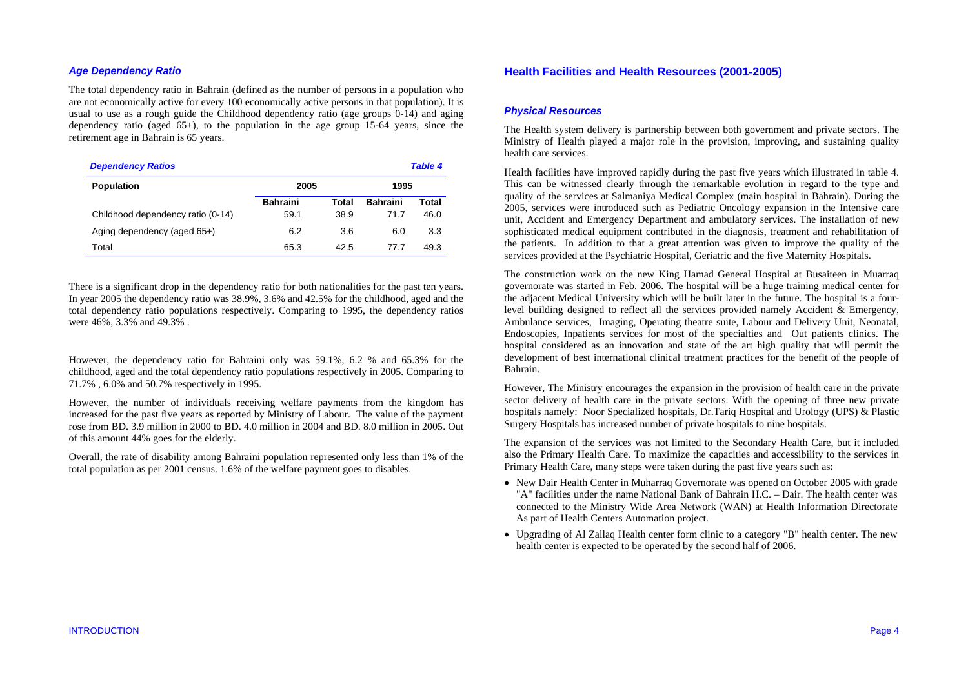## *Age Dependency Ratio*

The total dependency ratio in Bahrain (defined as the number of persons in a population who are not economically active for every 100 economically active persons in that population). It is usual to use as a rough guide the Childhood dependency ratio (age groups 0-14) and aging dependency ratio (aged  $65+$ ), to the population in the age group 15-64 years, since the retirement age in Bahrain is 65 years.

| <b>Dependency Ratios</b><br><b>Table 4</b> |                 |       |                 |       |  |  |
|--------------------------------------------|-----------------|-------|-----------------|-------|--|--|
| <b>Population</b>                          | 2005            | 1995  |                 |       |  |  |
|                                            | <b>Bahraini</b> | Total | <b>Bahraini</b> | Total |  |  |
| Childhood dependency ratio (0-14)          | 59.1            | 38.9  | 71.7            | 46.0  |  |  |
| Aging dependency (aged 65+)                | 6.2             | 3.6   | 6.0             | 3.3   |  |  |
| Total                                      | 65.3            | 42.5  | 77.7            | 49.3  |  |  |

There is a significant drop in the dependency ratio for both nationalities for the past ten years. In year 2005 the dependency ratio was 38.9%, 3.6% and 42.5% for the childhood, aged and the total dependency ratio populations respectively. Comparing to 1995, the dependency ratios were 46%, 3.3% and 49.3% .

However, the dependency ratio for Bahraini only was 59.1%, 6.2 % and 65.3% for the childhood, aged and the total dependency ratio populations respectively in 2005. Comparing to 71.7% , 6.0% and 50.7% respectively in 1995.

However, the number of individuals receiving welfare payments from the kingdom has increased for the past five years as reported by Ministry of Labour. The value of the payment rose from BD. 3.9 million in 2000 to BD. 4.0 million in 2004 and BD. 8.0 million in 2005. Out of this amount 44% goes for the elderly.

Overall, the rate of disability among Bahraini population represented only less than 1% of the total population as per 2001 census. 1.6% of the welfare payment goes to disables.

## **Health Facilities and Health Resources (2001-2005)**

## *Physical Resources*

The Health system delivery is partnership between both government and private sectors. The Ministry of Health played a major role in the provision, improving, and sustaining quality health care services.

Health facilities have improved rapidly during the past five years which illustrated in table 4. This can be witnessed clearly through the remarkable evolution in regard to the type and quality of the services at Salmaniya Medical Complex (main hospital in Bahrain). During the 2005, services were introduced such as Pediatric Oncology expansion in the Intensive care unit, Accident and Emergency Department and ambulatory services. The installation of new sophisticated medical equipment contributed in the diagnosis, treatment and rehabilitation of the patients. In addition to that a great attention was given to improve the quality of the services provided at the Psychiatric Hospital, Geriatric and the five Maternity Hospitals.

The construction work on the new King Hamad General Hospital at Busaiteen in Muarraq governorate was started in Feb. 2006. The hospital will be a huge training medical center for the adjacent Medical University which will be built later in the future. The hospital is a fourlevel building designed to reflect all the services provided namely Accident & Emergency, Ambulance services, Imaging, Operating theatre suite, Labour and Delivery Unit, Neonatal, Endoscopies, Inpatients services for most of the specialties and Out patients clinics. The hospital considered as an innovation and state of the art high quality that will permit the development of best international clinical treatment practices for the benefit of the people of Bahrain.

However, The Ministry encourages the expansion in the provision of health care in the private sector delivery of health care in the private sectors. With the opening of three new private hospitals namely: Noor Specialized hospitals, Dr.Tariq Hospital and Urology (UPS) & Plastic Surgery Hospitals has increased number of private hospitals to nine hospitals.

The expansion of the services was not limited to the Secondary Health Care, but it included also the Primary Health Care. To maximize the capacities and accessibility to the services in Primary Health Care, many steps were taken during the past five years such as:

- New Dair Health Center in Muharraq Governorate was opened on October 2005 with grade "A" facilities under the name National Bank of Bahrain H.C. – Dair. The health center was connected to the Ministry Wide Area Network (WAN) at Health Information Directorate As part of Health Centers Automation project.
- Upgrading of Al Zallaq Health center form clinic to a category "B" health center. The new health center is expected to be operated by the second half of 2006.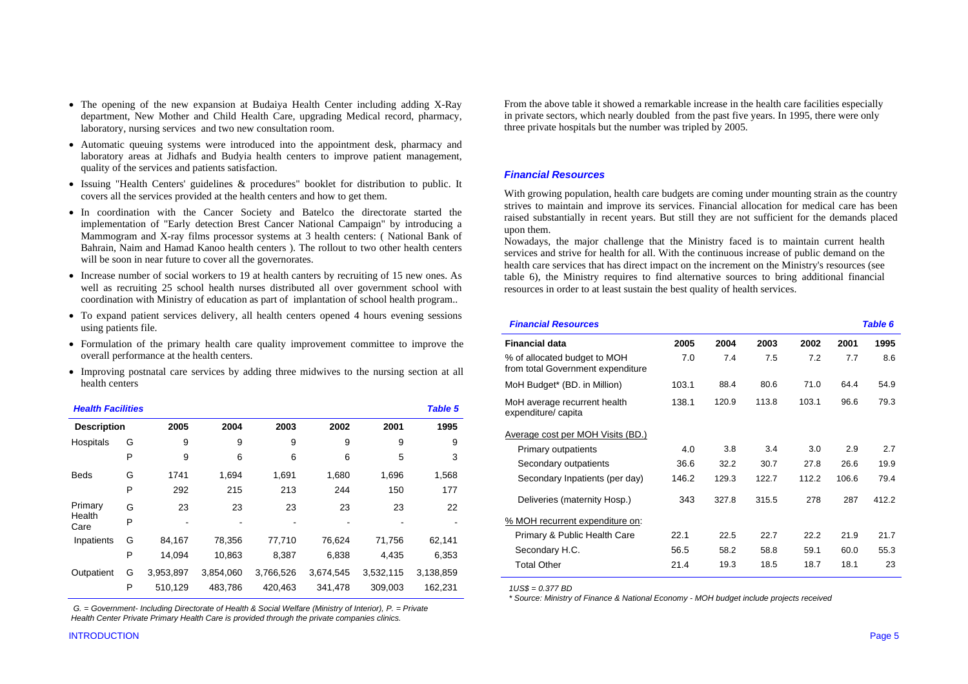- The opening of the new expansion at Budaiya Health Center including adding X-Ray department, New Mother and Child Health Care, upgrading Medical record, pharmacy, laboratory, nursing services and two new consultation room.
- Automatic queuing systems were introduced into the appointment desk, pharmacy and laboratory areas at Jidhafs and Budyia health centers to improve patient management, quality of the services and patients satisfaction.
- Issuing "Health Centers' guidelines & procedures" booklet for distribution to public. It covers all the services provided at the health centers and how to get them.
- In coordination with the Cancer Society and Batelco the directorate started the implementation of "Early detection Brest Cancer National Campaign" by introducing a Mammogram and X-ray films processor systems at 3 health centers: ( National Bank of Bahrain, Naim and Hamad Kanoo health centers ). The rollout to two other health centers will be soon in near future to cover all the governorates.
- Increase number of social workers to 19 at health canters by recruiting of 15 new ones. As well as recruiting 25 school health nurses distributed all over government school with coordination with Ministry of education as part of implantation of school health program..
- To expand patient services delivery, all health centers opened 4 hours evening sessions using patients file.
- Formulation of the primary health care quality improvement committee to improve the overall performance at the health centers.
- Improving postnatal care services by adding three midwives to the nursing section at all health centers

| <b>Health Facilities</b> |   |           |           |           |           |           | <b>Table 5</b> |
|--------------------------|---|-----------|-----------|-----------|-----------|-----------|----------------|
| <b>Description</b>       |   | 2005      | 2004      | 2003      | 2002      | 2001      | 1995           |
| Hospitals                | G | 9         | 9         | 9         | 9         | 9         | 9              |
|                          | P | 9         | 6         | 6         | 6         | 5         | 3              |
| <b>Beds</b>              | G | 1741      | 1,694     | 1,691     | 1,680     | 1,696     | 1,568          |
|                          | P | 292       | 215       | 213       | 244       | 150       | 177            |
| Primary                  | G | 23        | 23        | 23        | 23        | 23        | 22             |
| Health<br>Care           | P |           |           |           |           |           |                |
| Inpatients               | G | 84,167    | 78,356    | 77,710    | 76,624    | 71,756    | 62,141         |
|                          | P | 14,094    | 10,863    | 8,387     | 6,838     | 4,435     | 6,353          |
| Outpatient               | G | 3,953,897 | 3,854,060 | 3,766,526 | 3,674,545 | 3,532,115 | 3,138,859      |
|                          | P | 510,129   | 483,786   | 420,463   | 341,478   | 309,003   | 162,231        |

 *G. = Government- Including Directorate of Health & Social Welfare (Ministry of Interior), P. = Private Health Center Private Primary Health Care is provided through the private companies clinics.* 

From the above table it showed a remarkable increase in the health care facilities especially in private sectors, which nearly doubled from the past five years. In 1995, there were only three private hospitals but the number was tripled by 2005.

## *Financial Resources*

With growing population, health care budgets are coming under mounting strain as the country strives to maintain and improve its services. Financial allocation for medical care has been raised substantially in recent years. But still they are not sufficient for the demands placed upon them.

Nowadays, the major challenge that the Ministry faced is to maintain current health services and strive for health for all. With the continuous increase of public demand on the health care services that has direct impact on the increment on the Ministry's resources (see table 6), the Ministry requires to find alternative sources to bring additional financial resources in order to at least sustain the best quality of health services.

| <b>Financial Resources</b>                                        |       |       |       |       |       | <b>Table 6</b> |
|-------------------------------------------------------------------|-------|-------|-------|-------|-------|----------------|
| <b>Financial data</b>                                             | 2005  | 2004  | 2003  | 2002  | 2001  | 1995           |
| % of allocated budget to MOH<br>from total Government expenditure | 7.0   | 7.4   | 7.5   | 7.2   | 7.7   | 8.6            |
| MoH Budget* (BD. in Million)                                      | 103.1 | 88.4  | 80.6  | 71.0  | 64.4  | 54.9           |
| MoH average recurrent health<br>expenditure/ capita               | 138.1 | 120.9 | 113.8 | 103.1 | 96.6  | 79.3           |
| Average cost per MOH Visits (BD.)                                 |       |       |       |       |       |                |
| Primary outpatients                                               | 4.0   | 3.8   | 3.4   | 3.0   | 2.9   | 2.7            |
| Secondary outpatients                                             | 36.6  | 32.2  | 30.7  | 27.8  | 26.6  | 19.9           |
| Secondary Inpatients (per day)                                    | 146.2 | 129.3 | 122.7 | 112.2 | 106.6 | 79.4           |
| Deliveries (maternity Hosp.)                                      | 343   | 327.8 | 315.5 | 278   | 287   | 412.2          |
| % MOH recurrent expenditure on:                                   |       |       |       |       |       |                |
| Primary & Public Health Care                                      | 22.1  | 22.5  | 22.7  | 22.2  | 21.9  | 21.7           |
| Secondary H.C.                                                    | 56.5  | 58.2  | 58.8  | 59.1  | 60.0  | 55.3           |
| <b>Total Other</b>                                                | 21.4  | 19.3  | 18.5  | 18.7  | 18.1  | 23             |

 *1US\$ = 0.377 BD* 

 *\* Source: Ministry of Finance & National Economy - MOH budget include projects received*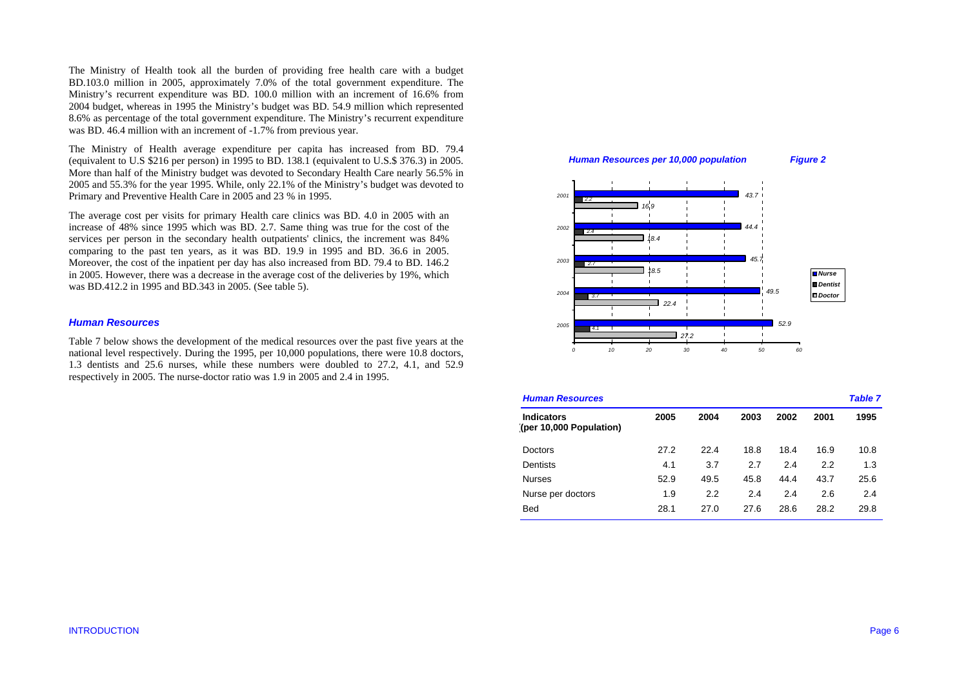The Ministry of Health took all the burden of providing free health care with a budget BD.103.0 million in 2005, approximately 7.0% of the total government expenditure. The Ministry's recurrent expenditure was BD. 100.0 million with an increment of 16.6% from 2004 budget, whereas in 1995 the Ministry's budget was BD. 54.9 million which represented 8.6% as percentage of the total government expenditure. The Ministry's recurrent expenditure was BD. 46.4 million with an increment of -1.7% from previous year.

The Ministry of Health average expenditure per capita has increased from BD. 79.4 (equivalent to U.S \$216 per person) in 1995 to BD. 138.1 (equivalent to U.S.\$ 376.3) in 2005. More than half of the Ministry budget was devoted to Secondary Health Care nearly 56.5% in 2005 and 55.3% for the year 1995. While, only 22.1% of the Ministry's budget was devoted to Primary and Preventive Health Care in 2005 and 23 % in 1995.

The average cost per visits for primary Health care clinics was BD. 4.0 in 2005 with an increase of 48% since 1995 which was BD. 2.7. Same thing was true for the cost of the services per person in the secondary health outpatients' clinics, the increment was 84% comparing to the past ten years, as it was BD. 19.9 in 1995 and BD. 36.6 in 2005. Moreover, the cost of the inpatient per day has also increased from BD. 79.4 to BD. 146.2 in 2005. However, there was a decrease in the average cost of the deliveries by 19%, which was BD.412.2 in 1995 and BD.343 in 2005. (See table 5).

### *Human Resources*

Table 7 below shows the development of the medical resources over the past five years at the national level respectively. During the 1995, per 10,000 populations, there were 10.8 doctors, 1.3 dentists and 25.6 nurses, while these numbers were doubled to 27.2, 4.1, and 52.9 respectively in 2005. The nurse-doctor ratio was 1.9 in 2005 and 2.4 in 1995.



| <b>Human Resources</b>                       |      |      |      |      |      |      |
|----------------------------------------------|------|------|------|------|------|------|
| <b>Indicators</b><br>(per 10,000 Population) | 2005 | 2004 | 2003 | 2002 | 2001 | 1995 |
| Doctors                                      | 27.2 | 22.4 | 18.8 | 18.4 | 16.9 | 10.8 |
| Dentists                                     | 4.1  | 3.7  | 2.7  | 2.4  | 2.2  | 1.3  |
| <b>Nurses</b>                                | 52.9 | 49.5 | 45.8 | 44.4 | 43.7 | 25.6 |
| Nurse per doctors                            | 1.9  | 2.2  | 2.4  | 2.4  | 2.6  | 2.4  |
| <b>Bed</b>                                   | 28.1 | 27.0 | 27.6 | 28.6 | 28.2 | 29.8 |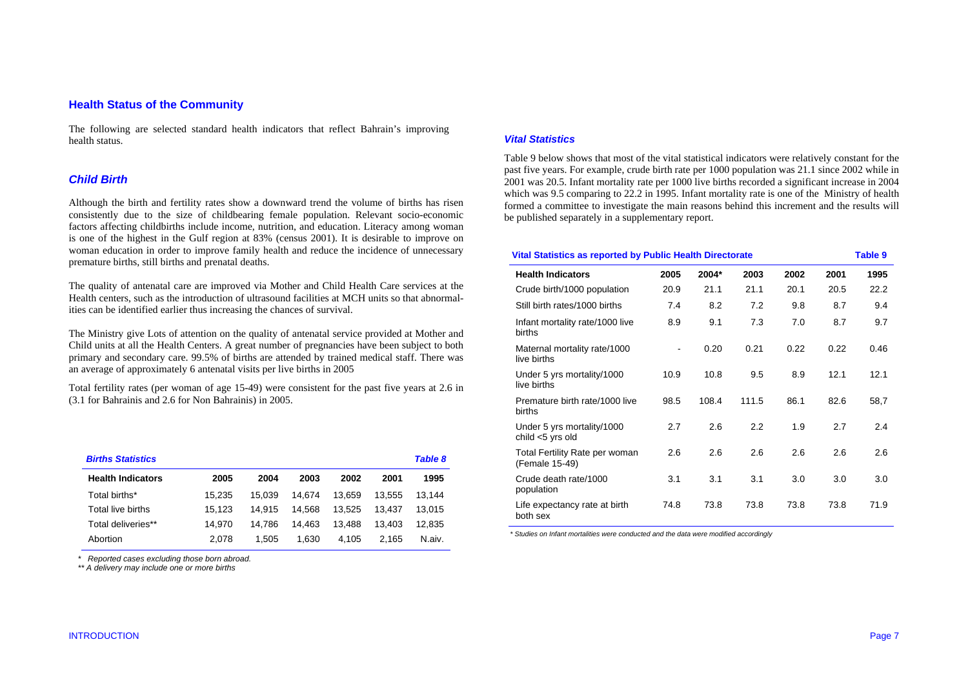## **Health Status of the Community**

The following are selected standard health indicators that reflect Bahrain's improving health status.

## *Child Birth*

Although the birth and fertility rates show a downward trend the volume of births has risen consistently due to the size of childbearing female population. Relevant socio-economic factors affecting childbirths include income, nutrition, and education. Literacy among woman is one of the highest in the Gulf region at 83% (census 2001). It is desirable to improve on woman education in order to improve family health and reduce the incidence of unnecessary premature births, still births and prenatal deaths.

The quality of antenatal care are improved via Mother and Child Health Care services at the Health centers, such as the introduction of ultrasound facilities at MCH units so that abnormalities can be identified earlier thus increasing the chances of survival.

The Ministry give Lots of attention on the quality of antenatal service provided at Mother and Child units at all the Health Centers. A great number of pregnancies have been subject to both primary and secondary care. 99.5% of births are attended by trained medical staff. There was an average of approximately 6 antenatal visits per live births in 2005

Total fertility rates (per woman of age 15-49) were consistent for the past five years at 2.6 in (3.1 for Bahrainis and 2.6 for Non Bahrainis) in 2005.

| <b>Births Statistics</b> |        |        |        |        |        | <b>Table 8</b> |
|--------------------------|--------|--------|--------|--------|--------|----------------|
| <b>Health Indicators</b> | 2005   | 2004   | 2003   | 2002   | 2001   | 1995           |
| Total births*            | 15.235 | 15.039 | 14.674 | 13.659 | 13.555 | 13.144         |
| Total live births        | 15.123 | 14.915 | 14.568 | 13.525 | 13.437 | 13.015         |
| Total deliveries**       | 14.970 | 14.786 | 14.463 | 13.488 | 13.403 | 12.835         |
| Abortion                 | 2.078  | 1.505  | 1.630  | 4.105  | 2.165  | N.aiv.         |

 *\* Reported cases excluding those born abroad. \*\* A delivery may include one or more births* 

#### *Vital Statistics*

Table 9 below shows that most of the vital statistical indicators were relatively constant for the past five years. For example, crude birth rate per 1000 population was 21.1 since 2002 while in 2001 was 20.5. Infant mortality rate per 1000 live births recorded a significant increase in 2004 which was 9.5 comparing to 22.2 in 1995. Infant mortality rate is one of the Ministry of health formed a committee to investigate the main reasons behind this increment and the results will be published separately in a supplementary report.

| <b>Vital Statistics as reported by Public Health Directorate</b><br><b>Table 9</b> |      |       |       |      |      |      |
|------------------------------------------------------------------------------------|------|-------|-------|------|------|------|
| <b>Health Indicators</b>                                                           | 2005 | 2004* | 2003  | 2002 | 2001 | 1995 |
| Crude birth/1000 population                                                        | 20.9 | 21.1  | 21.1  | 20.1 | 20.5 | 22.2 |
| Still birth rates/1000 births                                                      | 7.4  | 8.2   | 7.2   | 9.8  | 8.7  | 9.4  |
| Infant mortality rate/1000 live<br>births                                          | 8.9  | 9.1   | 7.3   | 7.0  | 8.7  | 9.7  |
| Maternal mortality rate/1000<br>live births                                        |      | 0.20  | 0.21  | 0.22 | 0.22 | 0.46 |
| Under 5 yrs mortality/1000<br>live births                                          | 10.9 | 10.8  | 9.5   | 8.9  | 12.1 | 12.1 |
| Premature birth rate/1000 live<br>births                                           | 98.5 | 108.4 | 111.5 | 86.1 | 82.6 | 58,7 |
| Under 5 yrs mortality/1000<br>child $<$ 5 yrs old                                  | 2.7  | 2.6   | 2.2   | 1.9  | 2.7  | 2.4  |
| Total Fertility Rate per woman<br>(Female 15-49)                                   | 2.6  | 2.6   | 2.6   | 2.6  | 2.6  | 2.6  |
| Crude death rate/1000<br>population                                                | 3.1  | 3.1   | 3.1   | 3.0  | 3.0  | 3.0  |
| Life expectancy rate at birth<br>both sex                                          | 74.8 | 73.8  | 73.8  | 73.8 | 73.8 | 71.9 |

 *\* Studies on Infant mortalities were conducted and the data were modified accordingly*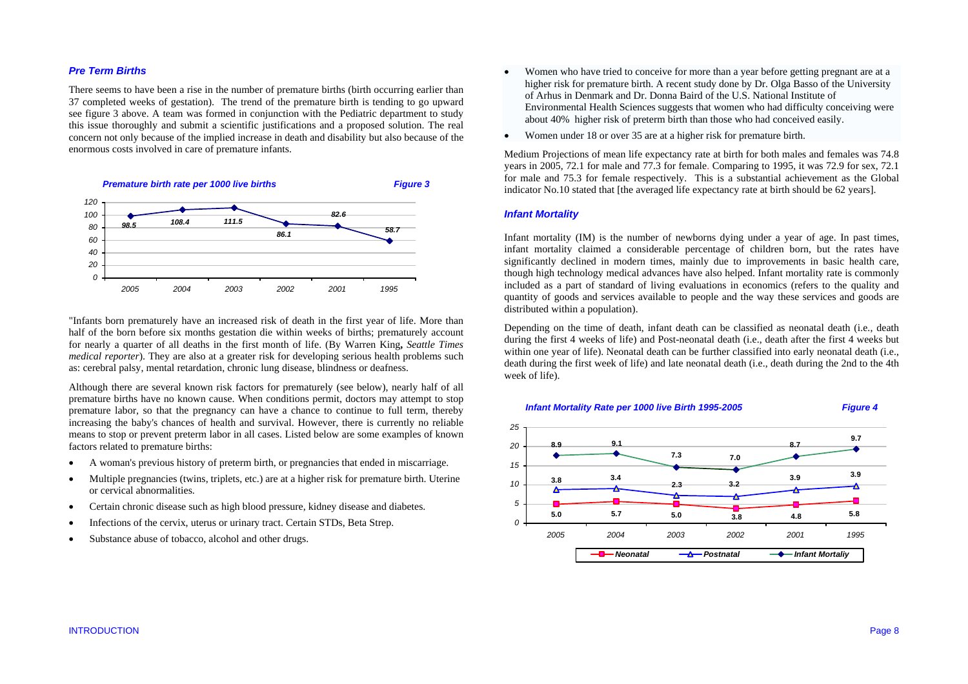## *Pre Term Births*

There seems to have been a rise in the number of premature births (birth occurring earlier than 37 completed weeks of gestation). The trend of the premature birth is tending to go upward see figure 3 above. A team was formed in conjunction with the Pediatric department to study this issue thoroughly and submit a scientific justifications and a proposed solution. The real concern not only because of the implied increase in death and disability but also because of the enormous costs involved in care of premature infants.



"Infants born prematurely have an increased risk of death in the first year of life. More than half of the born before six months gestation die within weeks of births; prematurely account for nearly a quarter of all deaths in the first month of life. (By Warren King**,** *Seattle Times medical reporter*). They are also at a greater risk for developing serious health problems such as: cerebral palsy, mental retardation, chronic lung disease, blindness or deafness.

Although there are several known risk factors for prematurely (see below), nearly half of all premature births have no known cause. When conditions permit, doctors may attempt to stop premature labor, so that the pregnancy can have a chance to continue to full term, thereby increasing the baby's chances of health and survival. However, there is currently no reliable means to stop or prevent preterm labor in all cases. Listed below are some examples of known factors related to premature births:

- •A woman's previous history of preterm birth, or pregnancies that ended in miscarriage.
- • Multiple pregnancies (twins, triplets, etc.) are at a higher risk for premature birth. Uterine or cervical abnormalities.
- •Certain chronic disease such as high blood pressure, kidney disease and diabetes.
- •Infections of the cervix, uterus or urinary tract. Certain STDs, Beta Strep.
- •Substance abuse of tobacco, alcohol and other drugs.
- • Women who have tried to conceive for more than a year before getting pregnant are at a higher risk for premature birth. A recent study done by Dr. Olga Basso of the University of Arhus in Denmark and Dr. Donna Baird of the U.S. National Institute of Environmental Health Sciences suggests that women who had difficulty conceiving were about 40% higher risk of preterm birth than those who had conceived easily.
- •Women under 18 or over 35 are at a higher risk for premature birth.

Medium Projections of mean life expectancy rate at birth for both males and females was 74.8 years in 2005, 72.1 for male and 77.3 for female. Comparing to 1995, it was 72.9 for sex, 72.1 for male and 75.3 for female respectively. This is a substantial achievement as the Global indicator No.10 stated that [the averaged life expectancy rate at birth should be 62 years].

#### *Infant Mortality*

Infant mortality (IM) is the number of newborns dying under a year of age. In past times, infant mortality claimed a considerable percentage of children born, but the rates have significantly declined in modern times, mainly due to improvements in basic health care, though high technology medical advances have also helped. Infant mortality rate is commonly included as a part of standard of living evaluations in economics (refers to the quality and quantity of goods and services available to people and the way these services and goods are distributed within a population).

Depending on the time of death, infant death can be classified as neonatal death (i.e., death during the first 4 weeks of life) and Post-neonatal death (i.e., death after the first 4 weeks but within one year of life). Neonatal death can be further classified into early neonatal death (i.e., death during the first week of life) and late neonatal death (i.e., death during the 2nd to the 4th week of life).

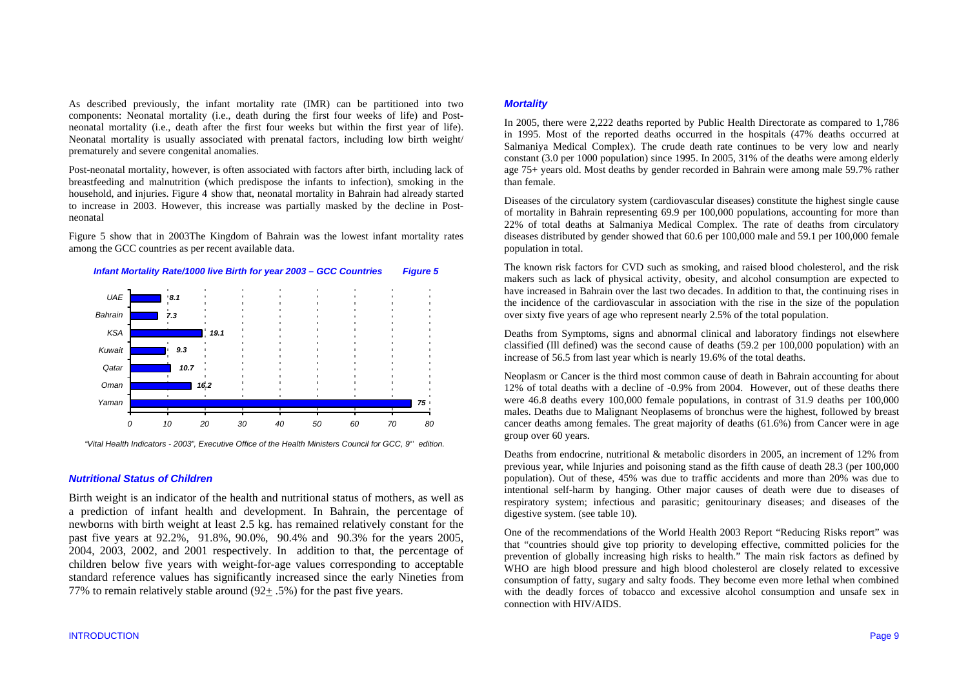As described previously, the infant mortality rate (IMR) can be partitioned into two components: Neonatal mortality (i.e., death during the first four weeks of life) and Postneonatal mortality (i.e., death after the first four weeks but within the first year of life). Neonatal mortality is usually associated with prenatal factors, including low birth weight/ prematurely and severe congenital anomalies.

Post-neonatal mortality, however, is often associated with factors after birth, including lack of breastfeeding and malnutrition (which predispose the infants to infection), smoking in the household, and injuries. Figure 4 show that, neonatal mortality in Bahrain had already started to increase in 2003. However, this increase was partially masked by the decline in Postneonatal

Figure 5 show that in 2003The Kingdom of Bahrain was the lowest infant mortality rates among the GCC countries as per recent available data.



 *"Vital Health Indicators - 2003", Executive Office of the Health Ministers Council for GCC, 9th edition.* 

#### *Nutritional Status of Children*

Birth weight is an indicator of the health and nutritional status of mothers, as well as a prediction of infant health and development. In Bahrain, the percentage of newborns with birth weight at least 2.5 kg. has remained relatively constant for the past five years at 92.2%, 91.8%, 90.0%, 90.4% and 90.3% for the years 2005, 2004, 2003, 2002, and 2001 respectively. In addition to that, the percentage of children below five years with weight-for-age values corresponding to acceptable standard reference values has significantly increased since the early Nineties from 77% to remain relatively stable around (92+ .5%) for the past five years.

## *Mortality*

In 2005, there were 2,222 deaths reported by Public Health Directorate as compared to 1,786 in 1995. Most of the reported deaths occurred in the hospitals (47% deaths occurred at Salmaniya Medical Complex). The crude death rate continues to be very low and nearly constant (3.0 per 1000 population) since 1995. In 2005, 31% of the deaths were among elderly age 75+ years old. Most deaths by gender recorded in Bahrain were among male 59.7% rather than female.

Diseases of the circulatory system (cardiovascular diseases) constitute the highest single cause of mortality in Bahrain representing 69.9 per 100,000 populations, accounting for more than 22% of total deaths at Salmaniya Medical Complex. The rate of deaths from circulatory diseases distributed by gender showed that 60.6 per 100,000 male and 59.1 per 100,000 female population in total.

The known risk factors for CVD such as smoking, and raised blood cholesterol, and the risk makers such as lack of physical activity, obesity, and alcohol consumption are expected to have increased in Bahrain over the last two decades. In addition to that, the continuing rises in the incidence of the cardiovascular in association with the rise in the size of the population over sixty five years of age who represent nearly 2.5% of the total population.

Deaths from Symptoms, signs and abnormal clinical and laboratory findings not elsewhere classified (Ill defined) was the second cause of deaths (59.2 per 100,000 population) with an increase of 56.5 from last year which is nearly 19.6% of the total deaths.

Neoplasm or Cancer is the third most common cause of death in Bahrain accounting for about 12% of total deaths with a decline of -0.9% from 2004. However, out of these deaths there were 46.8 deaths every 100,000 female populations, in contrast of 31.9 deaths per 100,000 males. Deaths due to Malignant Neoplasems of bronchus were the highest, followed by breast cancer deaths among females. The great majority of deaths (61.6%) from Cancer were in age group over 60 years.

Deaths from endocrine, nutritional & metabolic disorders in 2005, an increment of 12% from previous year, while Injuries and poisoning stand as the fifth cause of death 28.3 (per 100,000 population). Out of these, 45% was due to traffic accidents and more than 20% was due to intentional self-harm by hanging. Other major causes of death were due to diseases of respiratory system; infectious and parasitic; genitourinary diseases; and diseases of the digestive system. (see table 10).

One of the recommendations of the World Health 2003 Report "Reducing Risks report" was that "countries should give top priority to developing effective, committed policies for the prevention of globally increasing high risks to health." The main risk factors as defined by WHO are high blood pressure and high blood cholesterol are closely related to excessive consumption of fatty, sugary and salty foods. They become even more lethal when combined with the deadly forces of tobacco and excessive alcohol consumption and unsafe sex in connection with HIV/AIDS.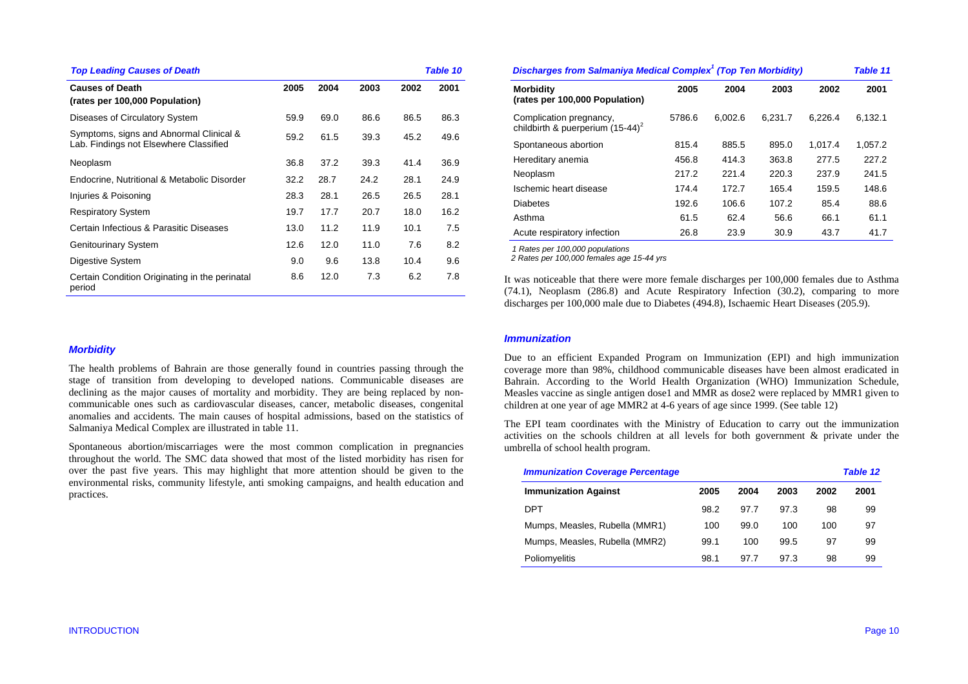| <b>Top Leading Causes of Death</b>                                                |      |      |      |      | <b>Table 10</b> |
|-----------------------------------------------------------------------------------|------|------|------|------|-----------------|
| <b>Causes of Death</b><br>(rates per 100,000 Population)                          | 2005 | 2004 | 2003 | 2002 | 2001            |
| Diseases of Circulatory System                                                    | 59.9 | 69.0 | 86.6 | 86.5 | 86.3            |
| Symptoms, signs and Abnormal Clinical &<br>Lab. Findings not Elsewhere Classified | 59.2 | 61.5 | 39.3 | 45.2 | 49.6            |
| Neoplasm                                                                          | 36.8 | 37.2 | 39.3 | 41.4 | 36.9            |
| Endocrine, Nutritional & Metabolic Disorder                                       | 32.2 | 28.7 | 24.2 | 28.1 | 24.9            |
| Injuries & Poisoning                                                              | 28.3 | 28.1 | 26.5 | 26.5 | 28.1            |
| <b>Respiratory System</b>                                                         | 19.7 | 17.7 | 20.7 | 18.0 | 16.2            |
| Certain Infectious & Parasitic Diseases                                           | 13.0 | 11.2 | 11.9 | 10.1 | 7.5             |
| <b>Genitourinary System</b>                                                       | 12.6 | 12.0 | 11.0 | 7.6  | 8.2             |
| Digestive System                                                                  | 9.0  | 9.6  | 13.8 | 10.4 | 9.6             |
| Certain Condition Originating in the perinatal<br>period                          | 8.6  | 12.0 | 7.3  | 6.2  | 7.8             |

| Discharges from Salmaniya Medical Complex <sup>1</sup> (Top Ten Morbidity) |        |         |         |         |         |  |  |
|----------------------------------------------------------------------------|--------|---------|---------|---------|---------|--|--|
| <b>Morbidity</b><br>(rates per 100,000 Population)                         | 2005   | 2004    | 2003    | 2002    | 2001    |  |  |
| Complication pregnancy,<br>childbirth & puerperium $(15-44)^2$             | 5786.6 | 6.002.6 | 6.231.7 | 6.226.4 | 6,132.1 |  |  |
| Spontaneous abortion                                                       | 815.4  | 885.5   | 895.0   | 1.017.4 | 1,057.2 |  |  |
| Hereditary anemia                                                          | 456.8  | 414.3   | 363.8   | 277.5   | 227.2   |  |  |
| Neoplasm                                                                   | 217.2  | 221.4   | 220.3   | 237.9   | 241.5   |  |  |
| Ischemic heart disease                                                     | 174.4  | 172.7   | 165.4   | 159.5   | 148.6   |  |  |
| <b>Diabetes</b>                                                            | 192.6  | 106.6   | 107.2   | 85.4    | 88.6    |  |  |
| Asthma                                                                     | 61.5   | 62.4    | 56.6    | 66.1    | 61.1    |  |  |
| Acute respiratory infection                                                | 26.8   | 23.9    | 30.9    | 43.7    | 41.7    |  |  |

*1 Rates per 100,000 populations* 

 *2 Rates per 100,000 females age 15-44 yrs*

It was noticeable that there were more female discharges per 100,000 females due to Asthma (74.1), Neoplasm (286.8) and Acute Respiratory Infection (30.2), comparing to more discharges per 100,000 male due to Diabetes (494.8), Ischaemic Heart Diseases (205.9).

#### *Morbidity*

The health problems of Bahrain are those generally found in countries passing through the stage of transition from developing to developed nations. Communicable diseases are declining as the major causes of mortality and morbidity. They are being replaced by noncommunicable ones such as cardiovascular diseases, cancer, metabolic diseases, congenital anomalies and accidents. The main causes of hospital admissions, based on the statistics of Salmaniya Medical Complex are illustrated in table 11.

Spontaneous abortion/miscarriages were the most common complication in pregnancies throughout the world. The SMC data showed that most of the listed morbidity has risen for over the past five years. This may highlight that more attention should be given to the environmental risks, community lifestyle, anti smoking campaigns, and health education and practices.

#### *Immunization*

Due to an efficient Expanded Program on Immunization (EPI) and high immunization coverage more than 98%, childhood communicable diseases have been almost eradicated in Bahrain. According to the World Health Organization (WHO) Immunization Schedule, Measles vaccine as single antigen dose1 and MMR as dose2 were replaced by MMR1 given to children at one year of age MMR2 at 4-6 years of age since 1999. (See table 12)

The EPI team coordinates with the Ministry of Education to carry out the immunization activities on the schools children at all levels for both government & private under the umbrella of school health program.

| <b>Immunization Coverage Percentage</b> |      |      |      |      | Table 12 |
|-----------------------------------------|------|------|------|------|----------|
| <b>Immunization Against</b>             | 2005 | 2004 | 2003 | 2002 | 2001     |
| DPT                                     | 98.2 | 97.7 | 97.3 | 98   | 99       |
| Mumps, Measles, Rubella (MMR1)          | 100  | 99.0 | 100  | 100  | 97       |
| Mumps, Measles, Rubella (MMR2)          | 99.1 | 100  | 99.5 | 97   | 99       |
| Poliomyelitis                           | 98.1 | 97.7 | 97.3 | 98   | 99       |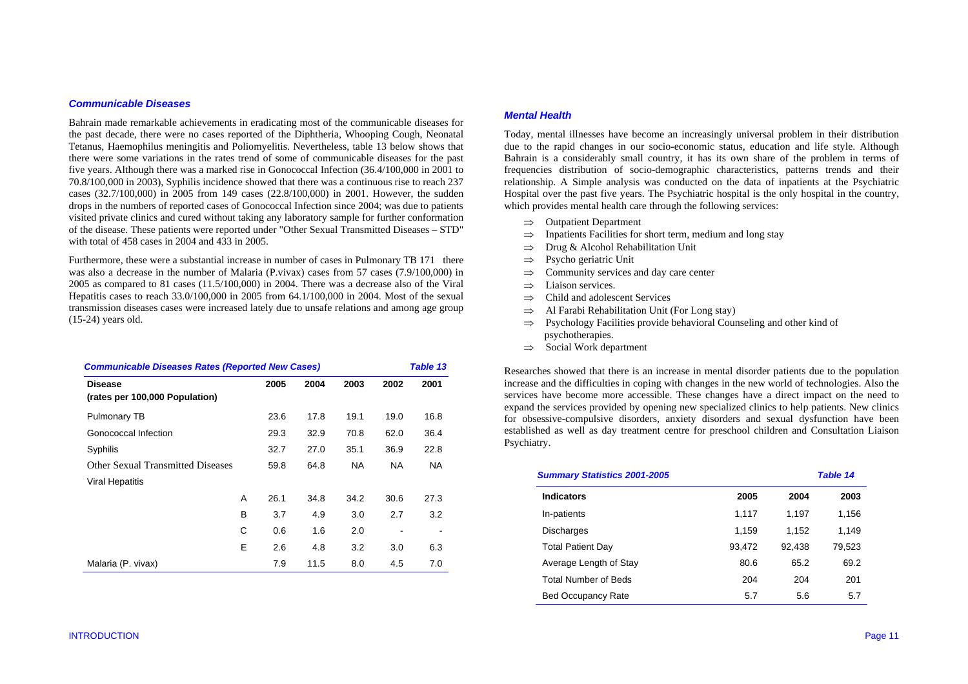### *Communicable Diseases*

Bahrain made remarkable achievements in eradicating most of the communicable diseases for the past decade, there were no cases reported of the Diphtheria, Whooping Cough, Neonatal Tetanus, Haemophilus meningitis and Poliomyelitis. Nevertheless, table 13 below shows that there were some variations in the rates trend of some of communicable diseases for the past five years. Although there was a marked rise in Gonococcal Infection (36.4/100,000 in 2001 to 70.8/100,000 in 2003), Syphilis incidence showed that there was a continuous rise to reach 237 cases (32.7/100,000) in 2005 from 149 cases (22.8/100,000) in 2001. However, the sudden drops in the numbers of reported cases of Gonococcal Infection since 2004; was due to patients visited private clinics and cured without taking any laboratory sample for further conformation of the disease. These patients were reported under "Other Sexual Transmitted Diseases – STD" with total of 458 cases in 2004 and 433 in 2005.

Furthermore, these were a substantial increase in number of cases in Pulmonary TB 171 there was also a decrease in the number of Malaria (P.vivax) cases from 57 cases (7.9/100,000) in 2005 as compared to 81 cases (11.5/100,000) in 2004. There was a decrease also of the Viral Hepatitis cases to reach 33.0/100,000 in 2005 from 64.1/100,000 in 2004. Most of the sexual transmission diseases cases were increased lately due to unsafe relations and among age group (15-24) years old.

| <b>Communicable Diseases Rates (Reported New Cases)</b> |   |      |      |           |           | Table 13  |  |
|---------------------------------------------------------|---|------|------|-----------|-----------|-----------|--|
| <b>Disease</b><br>(rates per 100,000 Population)        |   | 2005 | 2004 | 2003      | 2002      | 2001      |  |
| Pulmonary TB                                            |   | 23.6 | 17.8 | 19.1      | 19.0      | 16.8      |  |
| Gonococcal Infection                                    |   | 29.3 | 32.9 | 70.8      | 62.0      | 36.4      |  |
| Syphilis                                                |   | 32.7 | 27.0 | 35.1      | 36.9      | 22.8      |  |
| Other Sexual Transmitted Diseases                       |   | 59.8 | 64.8 | <b>NA</b> | <b>NA</b> | <b>NA</b> |  |
| <b>Viral Hepatitis</b>                                  |   |      |      |           |           |           |  |
|                                                         | A | 26.1 | 34.8 | 34.2      | 30.6      | 27.3      |  |
|                                                         | в | 3.7  | 4.9  | 3.0       | 2.7       | 3.2       |  |
|                                                         | C | 0.6  | 1.6  | 2.0       |           |           |  |
|                                                         | E | 2.6  | 4.8  | 3.2       | 3.0       | 6.3       |  |
| Malaria (P. vivax)                                      |   | 7.9  | 11.5 | 8.0       | 4.5       | 7.0       |  |

#### *Mental Health*

Today, mental illnesses have become an increasingly universal problem in their distribution due to the rapid changes in our socio-economic status, education and life style. Although Bahrain is a considerably small country, it has its own share of the problem in terms of frequencies distribution of socio-demographic characteristics, patterns trends and their relationship. A Simple analysis was conducted on the data of inpatients at the Psychiatric Hospital over the past five years. The Psychiatric hospital is the only hospital in the country, which provides mental health care through the following services:

- ⇒Outpatient Department
- ⇒Inpatients Facilities for short term, medium and long stay
- ⇒Drug & Alcohol Rehabilitation Unit
- ⇒Psycho geriatric Unit
- ⇒Community services and day care center
- ⇒Liaison services.
- ⇒Child and adolescent Services
- ⇒Al Farabi Rehabilitation Unit (For Long stay)
- ⇒ Psychology Facilities provide behavioral Counseling and other kind of psychotherapies.
- ⇒ Social Work department

Researches showed that there is an increase in mental disorder patients due to the population increase and the difficulties in coping with changes in the new world of technologies. Also the services have become more accessible. These changes have a direct impact on the need to expand the services provided by opening new specialized clinics to help patients. New clinics for obsessive-compulsive disorders, anxiety disorders and sexual dysfunction have been established as well as day treatment centre for preschool children and Consultation Liaison Psychiatry.

| <b>Summary Statistics 2001-2005</b> |        |        | <b>Table 14</b> |  |
|-------------------------------------|--------|--------|-----------------|--|
| <b>Indicators</b>                   | 2005   | 2004   | 2003            |  |
| In-patients                         | 1.117  | 1.197  | 1,156           |  |
| <b>Discharges</b>                   | 1,159  | 1,152  | 1,149           |  |
| <b>Total Patient Day</b>            | 93,472 | 92,438 | 79,523          |  |
| Average Length of Stay              | 80.6   | 65.2   | 69.2            |  |
| <b>Total Number of Beds</b>         | 204    | 204    | 201             |  |
| <b>Bed Occupancy Rate</b>           | 5.7    | 5.6    | 5.7             |  |